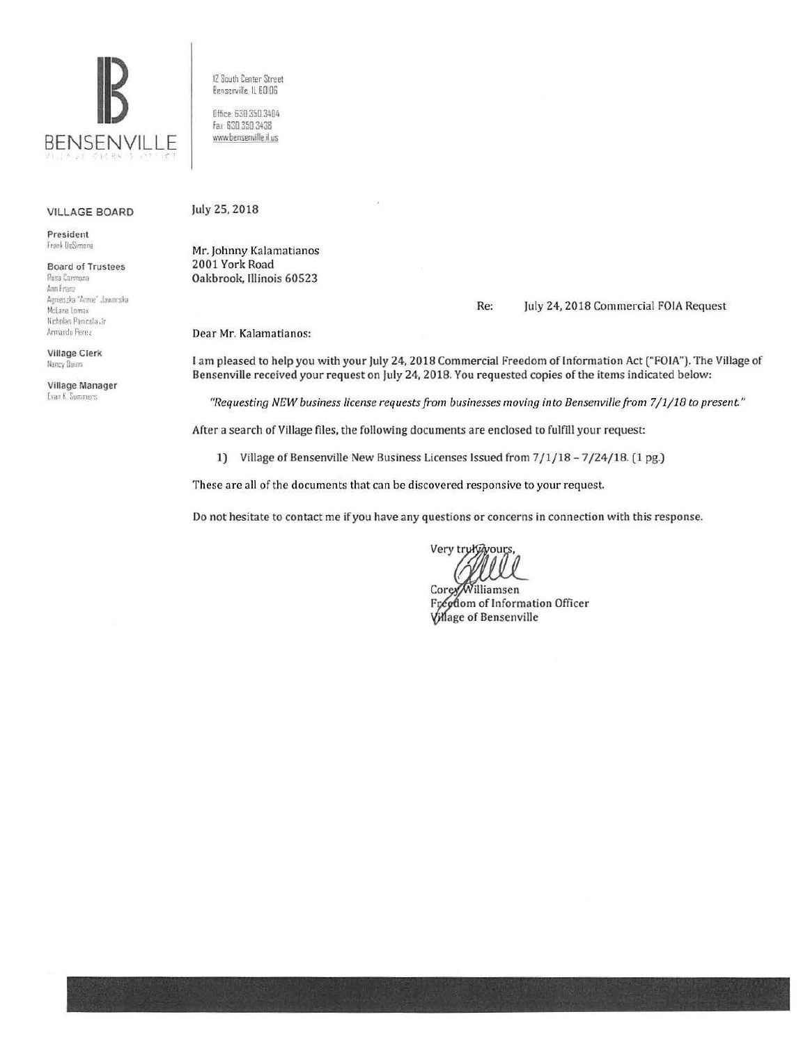

12 South Center Street Bensenville, IL 60106

Office: 630.350.3404 Fax 630 350 3438 www.bensenville.il.us

## **VILLAGE BOARD**

President Frank DeSimone

**Board of Trustees** Rosa Carmona Ann Franz Agnieszka "Annie" Jaworska McLane Lomax Nicholas Panicola Jr Armando Perez

**Village Clerk** Nancy Dunn-

Village Manager Evan K. Summers

July 25, 2018

Mr. Johnny Kalamatianos 2001 York Road Oakbrook, Illinois 60523

## July 24, 2018 Commercial FOIA Request Re:

Dear Mr. Kalamatianos:

I am pleased to help you with your July 24, 2018 Commercial Freedom of Information Act ("FOIA"). The Village of Bensenville received your request on July 24, 2018. You requested copies of the items indicated below:

"Requesting NEW business license requests from businesses moving into Bensenville from 7/1/18 to present."

After a search of Village files, the following documents are enclosed to fulfill your request:

1) Village of Bensenville New Business Licenses Issued from 7/1/18-7/24/18. (1 pg.)

These are all of the documents that can be discovered responsive to your request.

Do not hesitate to contact me if you have any questions or concerns in connection with this response.

Very truk@yours

Corey/Williamsen Freedom of Information Officer Village of Bensenville